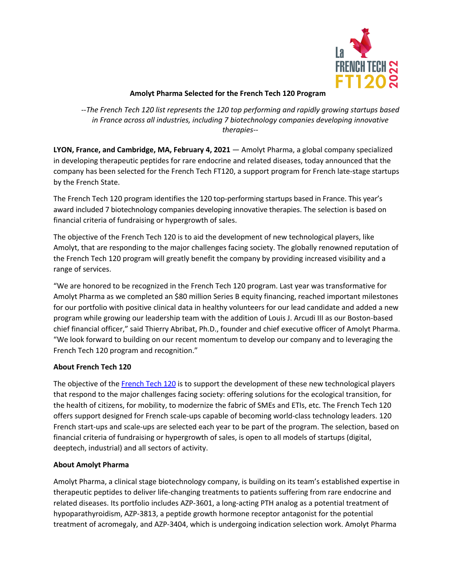

## **Amolyt Pharma Selected for the French Tech 120 Program**

*--The French Tech 120 list represents the 120 top performing and rapidly growing startups based in France across all industries, including 7 biotechnology companies developing innovative therapies--*

**LYON, France, and Cambridge, MA, February 4, 2021** — Amolyt Pharma, a global company specialized in developing therapeutic peptides for rare endocrine and related diseases, today announced that the company has been selected for the French Tech FT120, a support program for French late-stage startups by the French State.

The French Tech 120 program identifies the 120 top-performing startups based in France. This year's award included 7 biotechnology companies developing innovative therapies. The selection is based on financial criteria of fundraising or hypergrowth of sales.

The objective of the French Tech 120 is to aid the development of new technological players, like Amolyt, that are responding to the major challenges facing society. The globally renowned reputation of the French Tech 120 program will greatly benefit the company by providing increased visibility and a range of services.

"We are honored to be recognized in the French Tech 120 program. Last year was transformative for Amolyt Pharma as we completed an \$80 million Series B equity financing, reached important milestones for our portfolio with positive clinical data in healthy volunteers for our lead candidate and added a new program while growing our leadership team with the addition of Louis J. Arcudi III as our Boston-based chief financial officer," said Thierry Abribat, Ph.D., founder and chief executive officer of Amolyt Pharma. "We look forward to building on our recent momentum to develop our company and to leveraging the French Tech 120 program and recognition."

## **About French Tech 120**

The objective of the French Tech 120 is to support the development of these new technological players that respond to the major challenges facing society: offering solutions for the ecological transition, for the health of citizens, for mobility, to modernize the fabric of SMEs and ETIs, etc. The French Tech 120 offers support designed for French scale-ups capable of becoming world-class technology leaders. 120 French start-ups and scale-ups are selected each year to be part of the program. The selection, based on financial criteria of fundraising or hypergrowth of sales, is open to all models of startups (digital, deeptech, industrial) and all sectors of activity.

## **About Amolyt Pharma**

Amolyt Pharma, a clinical stage biotechnology company, is building on its team's established expertise in therapeutic peptides to deliver life-changing treatments to patients suffering from rare endocrine and related diseases. Its portfolio includes AZP-3601, a long-acting PTH analog as a potential treatment of hypoparathyroidism, AZP-3813, a peptide growth hormone receptor antagonist for the potential treatment of acromegaly, and AZP-3404, which is undergoing indication selection work. Amolyt Pharma